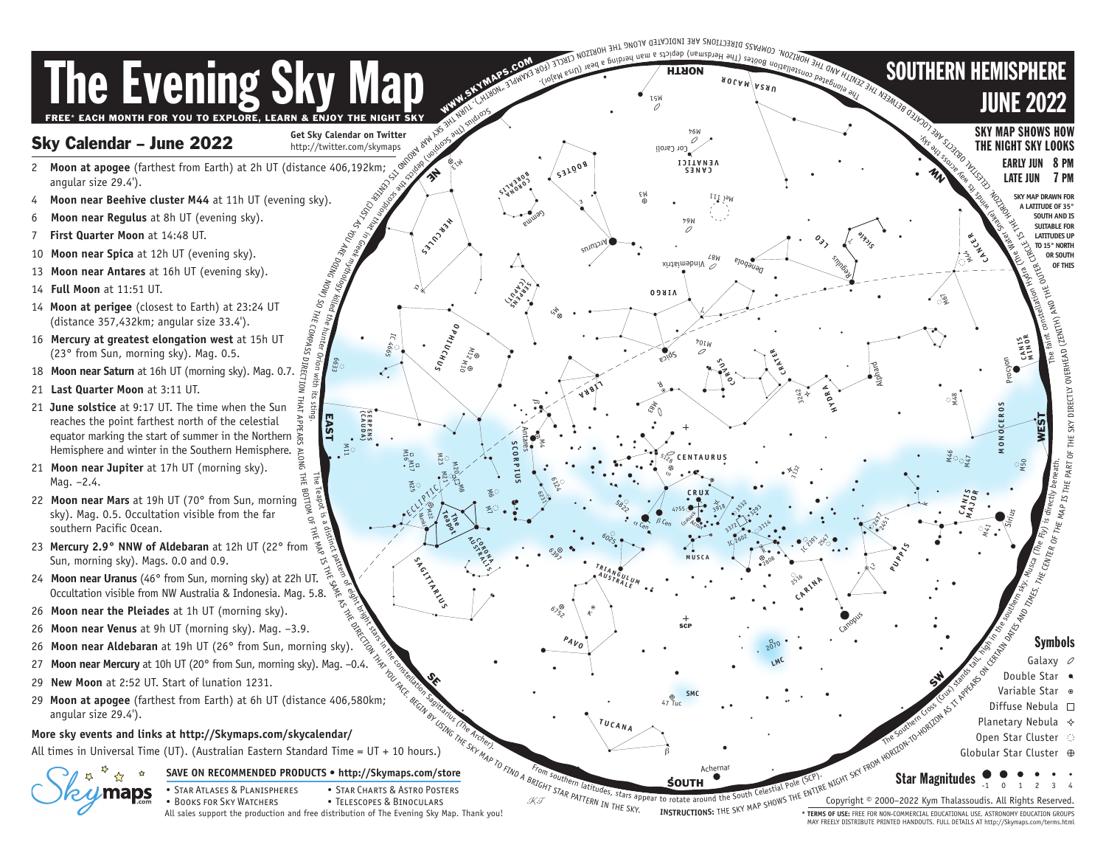